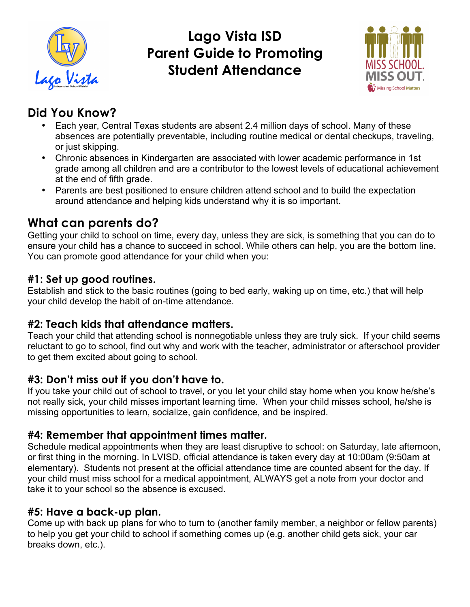

# **Lago Vista ISD Parent Guide to Promoting Student Attendance**



# **Did You Know?**

- Each year, Central Texas students are absent 2.4 million days of school. Many of these absences are potentially preventable, including routine medical or dental checkups, traveling, or just skipping.
- Chronic absences in Kindergarten are associated with lower academic performance in 1st grade among all children and are a contributor to the lowest levels of educational achievement at the end of fifth grade.
- Parents are best positioned to ensure children attend school and to build the expectation around attendance and helping kids understand why it is so important.

# **What can parents do?**

Getting your child to school on time, every day, unless they are sick, is something that you can do to ensure your child has a chance to succeed in school. While others can help, you are the bottom line. You can promote good attendance for your child when you:

### **#1: Set up good routines.**

Establish and stick to the basic routines (going to bed early, waking up on time, etc.) that will help your child develop the habit of on-time attendance.

## **#2: Teach kids that attendance matters.**

Teach your child that attending school is nonnegotiable unless they are truly sick. If your child seems reluctant to go to school, find out why and work with the teacher, administrator or afterschool provider to get them excited about going to school.

#### **#3: Don't miss out if you don't have to.**

If you take your child out of school to travel, or you let your child stay home when you know he/she's not really sick, your child misses important learning time. When your child misses school, he/she is missing opportunities to learn, socialize, gain confidence, and be inspired.

## **#4: Remember that appointment times matter.**

Schedule medical appointments when they are least disruptive to school: on Saturday, late afternoon, or first thing in the morning. In LVISD, official attendance is taken every day at 10:00am (9:50am at elementary). Students not present at the official attendance time are counted absent for the day. If your child must miss school for a medical appointment, ALWAYS get a note from your doctor and take it to your school so the absence is excused.

#### **#5: Have a back-up plan.**

Come up with back up plans for who to turn to (another family member, a neighbor or fellow parents) to help you get your child to school if something comes up (e.g. another child gets sick, your car breaks down, etc.).